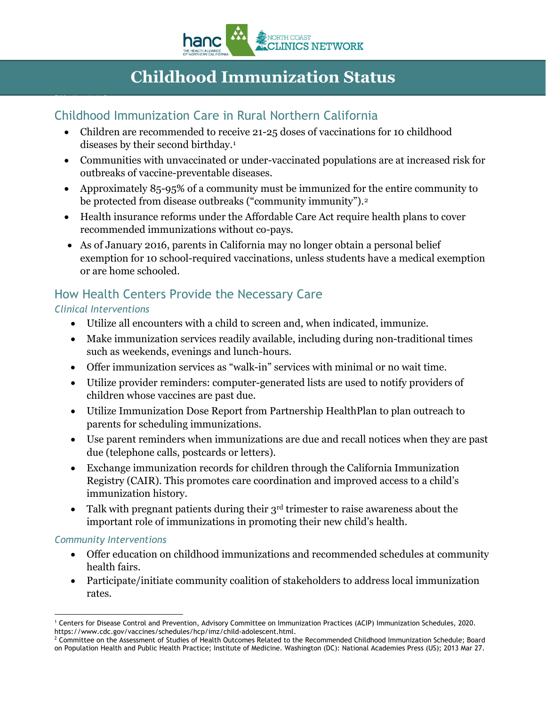

# **Childhood Immunization Status**

### Childhood Immunization Care in Rural Northern California

- Children are recommended to receive 21-25 doses of vaccinations for 10 childhood diseases by their second birthday[.1](#page-0-0)
- Communities with unvaccinated or under-vaccinated populations are at increased risk for outbreaks of vaccine-preventable diseases.
- Approximately 85-95% of a community must be immunized for the entire community to be protected from disease outbreaks ("community immunity").<sup>[2](#page-0-1)</sup>
- Health insurance reforms under the Affordable Care Act require health plans to cover recommended immunizations without co-pays.
- As of January 2016, parents in California may no longer obtain a personal belief exemption for 10 school-required vaccinations, unless students have a medical exemption or are home schooled.

### How Health Centers Provide the Necessary Care

### *Clinical Interventions*

Childhood Immunization Status

- Utilize all encounters with a child to screen and, when indicated, immunize.
- Make immunization services readily available, including during non-traditional times such as weekends, evenings and lunch-hours.
- Offer immunization services as "walk-in" services with minimal or no wait time.
- Utilize provider reminders: computer-generated lists are used to notify providers of children whose vaccines are past due.
- Utilize Immunization Dose Report from Partnership HealthPlan to plan outreach to parents for scheduling immunizations.
- Use parent reminders when immunizations are due and recall notices when they are past due (telephone calls, postcards or letters).
- Exchange immunization records for children through the California Immunization Registry (CAIR). This promotes care coordination and improved access to a child's immunization history.
- Talk with pregnant patients during their  $3<sup>rd</sup>$  trimester to raise awareness about the important role of immunizations in promoting their new child's health.

#### *Community Interventions*

- Offer education on childhood immunizations and recommended schedules at community health fairs.
- Participate/initiate community coalition of stakeholders to address local immunization rates.

<span id="page-0-0"></span>**<sup>-</sup>**<sup>1</sup> Centers for Disease Control and Prevention, Advisory Committee on Immunization Practices (ACIP) Immunization Schedules, 2020.<br>https://www.cdc.gov/vaccines/schedules/hcp/imz/child-adolescent.html.

<span id="page-0-1"></span><sup>&</sup>lt;sup>2</sup> Committee on the Assessment of Studies of Health Outcomes Related to the Recommended Childhood Immunization Schedule; Board on Population Health and Public Health Practice; Institute of Medicine. Washington (DC): National Academies Press (US); 2013 Mar 27.